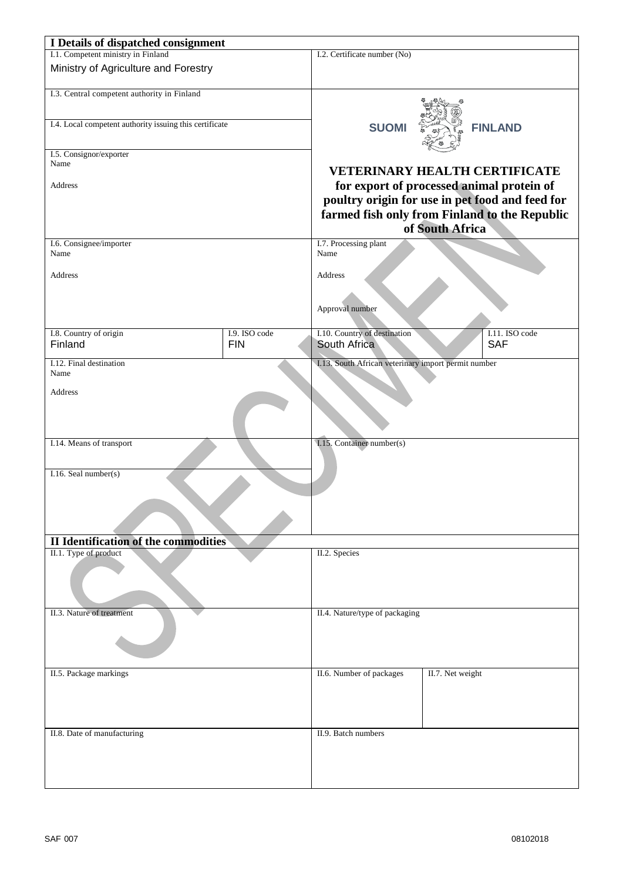| I Details of dispatched consignment                     |                             |                                                                  |                  |                              |
|---------------------------------------------------------|-----------------------------|------------------------------------------------------------------|------------------|------------------------------|
| I.1. Competent ministry in Finland                      |                             | I.2. Certificate number (No)                                     |                  |                              |
| Ministry of Agriculture and Forestry                    |                             |                                                                  |                  |                              |
|                                                         |                             |                                                                  |                  |                              |
| I.3. Central competent authority in Finland             |                             |                                                                  |                  |                              |
|                                                         |                             |                                                                  |                  |                              |
| I.4. Local competent authority issuing this certificate |                             | <b>SUOMI</b>                                                     |                  | <b>FINLAND</b>               |
|                                                         |                             |                                                                  |                  |                              |
| I.5. Consignor/exporter                                 |                             |                                                                  |                  |                              |
| Name                                                    |                             | <b>VETERINARY HEALTH CERTIFICATE</b>                             |                  |                              |
| Address                                                 |                             | for export of processed animal protein of                        |                  |                              |
|                                                         |                             | poultry origin for use in pet food and feed for                  |                  |                              |
|                                                         |                             | farmed fish only from Finland to the Republic<br>of South Africa |                  |                              |
|                                                         |                             |                                                                  |                  |                              |
| Name                                                    |                             | Name                                                             |                  |                              |
|                                                         |                             | Address                                                          |                  |                              |
| <b>Address</b>                                          |                             |                                                                  |                  |                              |
|                                                         |                             |                                                                  |                  |                              |
|                                                         |                             | Approval number                                                  |                  |                              |
|                                                         |                             |                                                                  |                  |                              |
| I.8. Country of origin<br>Finland                       | I.9. ISO code<br><b>FIN</b> | I.10. Country of destination<br>South Africa                     |                  | I.11. ISO code<br><b>SAF</b> |
|                                                         |                             |                                                                  |                  |                              |
| I.12. Final destination                                 |                             | I.13. South African veterinary import permit number              |                  |                              |
| Name                                                    |                             |                                                                  |                  |                              |
| Address                                                 |                             |                                                                  |                  |                              |
|                                                         |                             |                                                                  |                  |                              |
|                                                         |                             |                                                                  |                  |                              |
| I.14. Means of transport                                |                             |                                                                  |                  |                              |
|                                                         |                             | I.15. Container number(s)                                        |                  |                              |
|                                                         |                             |                                                                  |                  |                              |
| I.16. Seal number(s)                                    |                             |                                                                  |                  |                              |
|                                                         |                             |                                                                  |                  |                              |
|                                                         |                             |                                                                  |                  |                              |
|                                                         |                             |                                                                  |                  |                              |
| <b>II Identification of the commodities</b>             |                             |                                                                  |                  |                              |
| II.1. Type of product                                   |                             | II.2. Species                                                    |                  |                              |
|                                                         |                             |                                                                  |                  |                              |
|                                                         |                             |                                                                  |                  |                              |
|                                                         |                             |                                                                  |                  |                              |
| II.3. Nature of treatment                               |                             | II.4. Nature/type of packaging                                   |                  |                              |
|                                                         |                             |                                                                  |                  |                              |
|                                                         |                             |                                                                  |                  |                              |
|                                                         |                             |                                                                  |                  |                              |
|                                                         |                             |                                                                  |                  |                              |
| II.5. Package markings                                  |                             | II.6. Number of packages                                         | II.7. Net weight |                              |
|                                                         |                             |                                                                  |                  |                              |
|                                                         |                             |                                                                  |                  |                              |
|                                                         |                             |                                                                  |                  |                              |
| II.8. Date of manufacturing                             |                             | II.9. Batch numbers                                              |                  |                              |
|                                                         |                             |                                                                  |                  |                              |
|                                                         |                             |                                                                  |                  |                              |
|                                                         |                             |                                                                  |                  |                              |